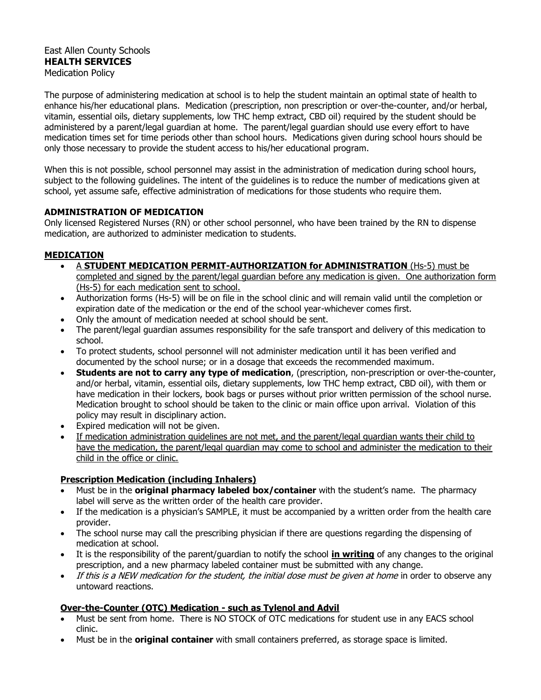#### East Allen County Schools **HEALTH SERVICES** Medication Policy

The purpose of administering medication at school is to help the student maintain an optimal state of health to enhance his/her educational plans. Medication (prescription, non prescription or over-the-counter, and/or herbal, vitamin, essential oils, dietary supplements, low THC hemp extract, CBD oil) required by the student should be administered by a parent/legal guardian at home. The parent/legal guardian should use every effort to have medication times set for time periods other than school hours. Medications given during school hours should be only those necessary to provide the student access to his/her educational program.

When this is not possible, school personnel may assist in the administration of medication during school hours, subject to the following guidelines. The intent of the guidelines is to reduce the number of medications given at school, yet assume safe, effective administration of medications for those students who require them.

## **ADMINISTRATION OF MEDICATION**

Only licensed Registered Nurses (RN) or other school personnel, who have been trained by the RN to dispense medication, are authorized to administer medication to students.

# **MEDICATION**

- A **STUDENT MEDICATION PERMIT-AUTHORIZATION for ADMINISTRATION** (Hs-5) must be completed and signed by the parent/legal guardian before any medication is given. One authorization form (Hs-5) for each medication sent to school.
- Authorization forms (Hs-5) will be on file in the school clinic and will remain valid until the completion or expiration date of the medication or the end of the school year-whichever comes first.
- Only the amount of medication needed at school should be sent.
- The parent/legal guardian assumes responsibility for the safe transport and delivery of this medication to school.
- To protect students, school personnel will not administer medication until it has been verified and documented by the school nurse; or in a dosage that exceeds the recommended maximum.
- **Students are not to carry any type of medication**, (prescription, non-prescription or over-the-counter, and/or herbal, vitamin, essential oils, dietary supplements, low THC hemp extract, CBD oil), with them or have medication in their lockers, book bags or purses without prior written permission of the school nurse. Medication brought to school should be taken to the clinic or main office upon arrival. Violation of this policy may result in disciplinary action.
- Expired medication will not be given.
- If medication administration guidelines are not met, and the parent/legal guardian wants their child to have the medication, the parent/legal guardian may come to school and administer the medication to their child in the office or clinic.

## **Prescription Medication (including Inhalers)**

- Must be in the **original pharmacy labeled box/container** with the student's name. The pharmacy label will serve as the written order of the health care provider.
- If the medication is a physician's SAMPLE, it must be accompanied by a written order from the health care provider.
- The school nurse may call the prescribing physician if there are questions regarding the dispensing of medication at school.
- It is the responsibility of the parent/guardian to notify the school **in writing** of any changes to the original prescription, and a new pharmacy labeled container must be submitted with any change.
- If this is a NEW medication for the student, the initial dose must be given at home in order to observe any untoward reactions.

# **Over-the-Counter (OTC) Medication - such as Tylenol and Advil**

- Must be sent from home. There is NO STOCK of OTC medications for student use in any EACS school clinic.
- Must be in the **original container** with small containers preferred, as storage space is limited.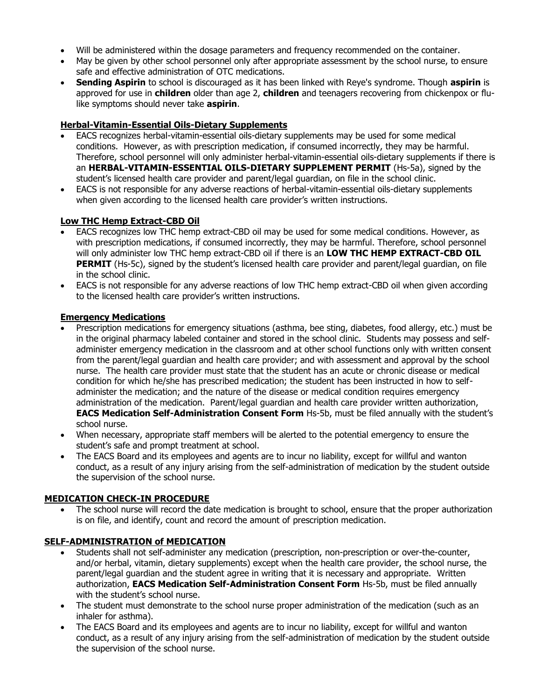- Will be administered within the dosage parameters and frequency recommended on the container.
- May be given by other school personnel only after appropriate assessment by the school nurse, to ensure safe and effective administration of OTC medications.
- **Sending Aspirin** to school is discouraged as it has been linked with Reye's syndrome. Though **aspirin** is approved for use in **children** older than age 2, **children** and teenagers recovering from chickenpox or flulike symptoms should never take **aspirin**.

## **Herbal-Vitamin-Essential Oils-Dietary Supplements**

- EACS recognizes herbal-vitamin-essential oils-dietary supplements may be used for some medical conditions. However, as with prescription medication, if consumed incorrectly, they may be harmful. Therefore, school personnel will only administer herbal-vitamin-essential oils-dietary supplements if there is an **HERBAL-VITAMIN-ESSENTIAL OILS-DIETARY SUPPLEMENT PERMIT** (Hs-5a), signed by the student's licensed health care provider and parent/legal guardian, on file in the school clinic.
- EACS is not responsible for any adverse reactions of herbal-vitamin-essential oils-dietary supplements when given according to the licensed health care provider's written instructions.

### **Low THC Hemp Extract-CBD Oil**

- EACS recognizes low THC hemp extract-CBD oil may be used for some medical conditions. However, as with prescription medications, if consumed incorrectly, they may be harmful. Therefore, school personnel will only administer low THC hemp extract-CBD oil if there is an **LOW THC HEMP EXTRACT-CBD OIL PERMIT** (Hs-5c), signed by the student's licensed health care provider and parent/legal guardian, on file in the school clinic.
- EACS is not responsible for any adverse reactions of low THC hemp extract-CBD oil when given according to the licensed health care provider's written instructions.

#### **Emergency Medications**

- Prescription medications for emergency situations (asthma, bee sting, diabetes, food allergy, etc.) must be in the original pharmacy labeled container and stored in the school clinic. Students may possess and selfadminister emergency medication in the classroom and at other school functions only with written consent from the parent/legal guardian and health care provider; and with assessment and approval by the school nurse. The health care provider must state that the student has an acute or chronic disease or medical condition for which he/she has prescribed medication; the student has been instructed in how to selfadminister the medication; and the nature of the disease or medical condition requires emergency administration of the medication. Parent/legal guardian and health care provider written authorization, **EACS Medication Self-Administration Consent Form** Hs-5b, must be filed annually with the student's school nurse.
- When necessary, appropriate staff members will be alerted to the potential emergency to ensure the student's safe and prompt treatment at school.
- The EACS Board and its employees and agents are to incur no liability, except for willful and wanton conduct, as a result of any injury arising from the self-administration of medication by the student outside the supervision of the school nurse.

#### **MEDICATION CHECK-IN PROCEDURE**

• The school nurse will record the date medication is brought to school, ensure that the proper authorization is on file, and identify, count and record the amount of prescription medication.

## **SELF-ADMINISTRATION of MEDICATION**

- Students shall not self-administer any medication (prescription, non-prescription or over-the-counter, and/or herbal, vitamin, dietary supplements) except when the health care provider, the school nurse, the parent/legal guardian and the student agree in writing that it is necessary and appropriate. Written authorization, **EACS Medication Self-Administration Consent Form** Hs-5b, must be filed annually with the student's school nurse.
- The student must demonstrate to the school nurse proper administration of the medication (such as an inhaler for asthma).
- The EACS Board and its employees and agents are to incur no liability, except for willful and wanton conduct, as a result of any injury arising from the self-administration of medication by the student outside the supervision of the school nurse.